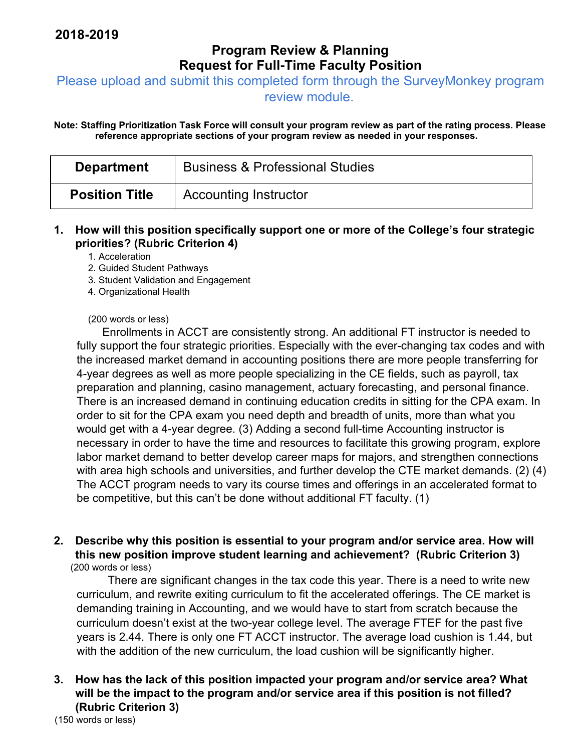# **Program Review & Planning Request for Full-Time Faculty Position**

Please upload and submit this completed form through the SurveyMonkey program

review module.

**Note: Staffing Prioritization Task Force will consult your program review as part of the rating process. Please reference appropriate sections of your program review as needed in your responses.** 

| <b>Department</b>     | <b>Business &amp; Professional Studies</b> |
|-----------------------|--------------------------------------------|
| <b>Position Title</b> | <b>Accounting Instructor</b>               |

#### **1. How will this position specifically support one or more of the College's four strategic priorities? (Rubric Criterion 4)**

1. Acceleration

- 2. Guided Student Pathways
- 3. Student Validation and Engagement
- 4. Organizational Health

#### (200 words or less)

Enrollments in ACCT are consistently strong. An additional FT instructor is needed to fully support the four strategic priorities. Especially with the ever-changing tax codes and with the increased market demand in accounting positions there are more people transferring for 4-year degrees as well as more people specializing in the CE fields, such as payroll, tax preparation and planning, casino management, actuary forecasting, and personal finance. There is an increased demand in continuing education credits in sitting for the CPA exam. In order to sit for the CPA exam you need depth and breadth of units, more than what you would get with a 4-year degree. (3) Adding a second full-time Accounting instructor is necessary in order to have the time and resources to facilitate this growing program, explore labor market demand to better develop career maps for majors, and strengthen connections with area high schools and universities, and further develop the CTE market demands. (2) (4) The ACCT program needs to vary its course times and offerings in an accelerated format to be competitive, but this can't be done without additional FT faculty. (1)

**2. Describe why this position is essential to your program and/or service area. How will this new position improve student learning and achievement? (Rubric Criterion 3)**  (200 words or less)

 There are significant changes in the tax code this year. There is a need to write new curriculum, and rewrite exiting curriculum to fit the accelerated offerings. The CE market is demanding training in Accounting, and we would have to start from scratch because the curriculum doesn't exist at the two-year college level. The average FTEF for the past five years is 2.44. There is only one FT ACCT instructor. The average load cushion is 1.44, but with the addition of the new curriculum, the load cushion will be significantly higher.

### **3. How has the lack of this position impacted your program and/or service area? What will be the impact to the program and/or service area if this position is not filled? (Rubric Criterion 3)**

(150 words or less)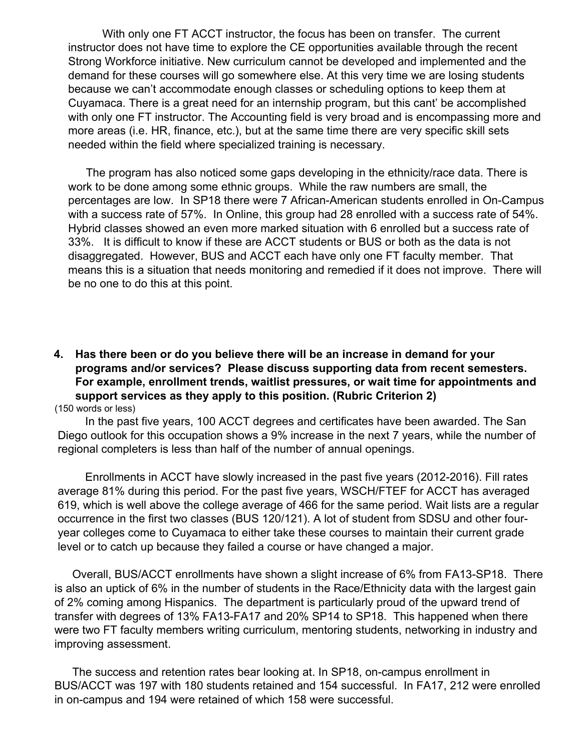With only one FT ACCT instructor, the focus has been on transfer. The current instructor does not have time to explore the CE opportunities available through the recent Strong Workforce initiative. New curriculum cannot be developed and implemented and the demand for these courses will go somewhere else. At this very time we are losing students because we can't accommodate enough classes or scheduling options to keep them at Cuyamaca. There is a great need for an internship program, but this cant' be accomplished with only one FT instructor. The Accounting field is very broad and is encompassing more and more areas (i.e. HR, finance, etc.), but at the same time there are very specific skill sets needed within the field where specialized training is necessary.

The program has also noticed some gaps developing in the ethnicity/race data. There is work to be done among some ethnic groups. While the raw numbers are small, the percentages are low. In SP18 there were 7 African-American students enrolled in On-Campus with a success rate of 57%. In Online, this group had 28 enrolled with a success rate of 54%. Hybrid classes showed an even more marked situation with 6 enrolled but a success rate of 33%. It is difficult to know if these are ACCT students or BUS or both as the data is not disaggregated. However, BUS and ACCT each have only one FT faculty member. That means this is a situation that needs monitoring and remedied if it does not improve. There will be no one to do this at this point.

**4. Has there been or do you believe there will be an increase in demand for your programs and/or services? Please discuss supporting data from recent semesters. For example, enrollment trends, waitlist pressures, or wait time for appointments and support services as they apply to this position. (Rubric Criterion 2)**  (150 words or less)

 In the past five years, 100 ACCT degrees and certificates have been awarded. The San Diego outlook for this occupation shows a 9% increase in the next 7 years, while the number of regional completers is less than half of the number of annual openings.

 Enrollments in ACCT have slowly increased in the past five years (2012-2016). Fill rates average 81% during this period. For the past five years, WSCH/FTEF for ACCT has averaged 619, which is well above the college average of 466 for the same period. Wait lists are a regular occurrence in the first two classes (BUS 120/121). A lot of student from SDSU and other fouryear colleges come to Cuyamaca to either take these courses to maintain their current grade level or to catch up because they failed a course or have changed a major.

Overall, BUS/ACCT enrollments have shown a slight increase of 6% from FA13-SP18. There is also an uptick of 6% in the number of students in the Race/Ethnicity data with the largest gain of 2% coming among Hispanics. The department is particularly proud of the upward trend of transfer with degrees of 13% FA13-FA17 and 20% SP14 to SP18. This happened when there were two FT faculty members writing curriculum, mentoring students, networking in industry and improving assessment.

The success and retention rates bear looking at. In SP18, on-campus enrollment in BUS/ACCT was 197 with 180 students retained and 154 successful. In FA17, 212 were enrolled in on-campus and 194 were retained of which 158 were successful.